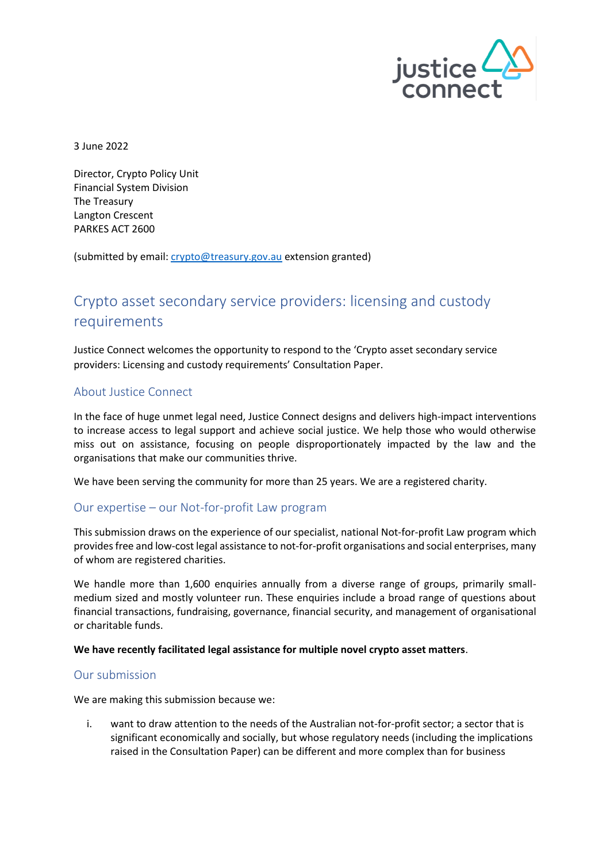

3 June 2022

Director, Crypto Policy Unit Financial System Division The Treasury Langton Crescent PARKES ACT 2600

(submitted by email: [crypto@treasury.gov.au](mailto:crypto@treasury.gov.au) extension granted)

# Crypto asset secondary service providers: licensing and custody requirements

Justice Connect welcomes the opportunity to respond to the 'Crypto asset secondary service providers: Licensing and custody requirements' Consultation Paper.

## About Justice Connect

In the face of huge unmet legal need, Justice Connect designs and delivers high-impact interventions to increase access to legal support and achieve social justice. We help those who would otherwise miss out on assistance, focusing on people disproportionately impacted by the law and the organisations that make our communities thrive.

We have been serving the community for more than 25 years. We are a registered charity.

## Our expertise – our Not-for-profit Law program

This submission draws on the experience of our specialist, national Not-for-profit Law program which provides free and low-cost legal assistance to not-for-profit organisations and social enterprises, many of whom are registered charities.

We handle more than 1,600 enquiries annually from a diverse range of groups, primarily smallmedium sized and mostly volunteer run. These enquiries include a broad range of questions about financial transactions, fundraising, governance, financial security, and management of organisational or charitable funds.

### **We have recently facilitated legal assistance for multiple novel crypto asset matters**.

## Our submission

We are making this submission because we:

i. want to draw attention to the needs of the Australian not-for-profit sector; a sector that is significant economically and socially, but whose regulatory needs (including the implications raised in the Consultation Paper) can be different and more complex than for business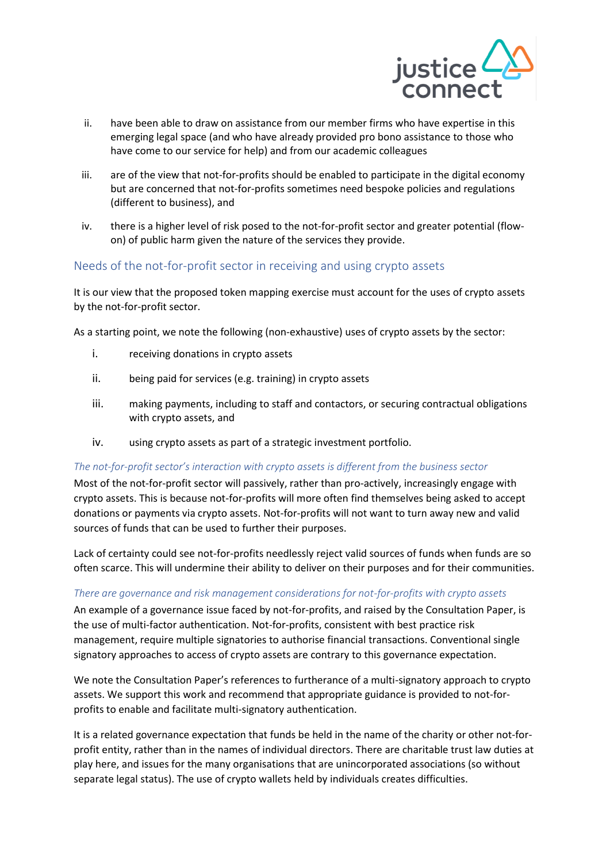

- ii. have been able to draw on assistance from our member firms who have expertise in this emerging legal space (and who have already provided pro bono assistance to those who have come to our service for help) and from our academic colleagues
- iii. are of the view that not-for-profits should be enabled to participate in the digital economy but are concerned that not-for-profits sometimes need bespoke policies and regulations (different to business), and
- iv. there is a higher level of risk posed to the not-for-profit sector and greater potential (flowon) of public harm given the nature of the services they provide.

# Needs of the not-for-profit sector in receiving and using crypto assets

It is our view that the proposed token mapping exercise must account for the uses of crypto assets by the not-for-profit sector.

As a starting point, we note the following (non-exhaustive) uses of crypto assets by the sector:

- i. receiving donations in crypto assets
- ii. being paid for services (e.g. training) in crypto assets
- iii. making payments, including to staff and contactors, or securing contractual obligations with crypto assets, and
- iv. using crypto assets as part of a strategic investment portfolio.

### *The not-for-profit sector's interaction with crypto assets is different from the business sector*

Most of the not-for-profit sector will passively, rather than pro-actively, increasingly engage with crypto assets. This is because not-for-profits will more often find themselves being asked to accept donations or payments via crypto assets. Not-for-profits will not want to turn away new and valid sources of funds that can be used to further their purposes.

Lack of certainty could see not-for-profits needlessly reject valid sources of funds when funds are so often scarce. This will undermine their ability to deliver on their purposes and for their communities.

### *There are governance and risk management considerations for not-for-profits with crypto assets*

An example of a governance issue faced by not-for-profits, and raised by the Consultation Paper, is the use of multi-factor authentication. Not-for-profits, consistent with best practice risk management, require multiple signatories to authorise financial transactions. Conventional single signatory approaches to access of crypto assets are contrary to this governance expectation.

We note the Consultation Paper's references to furtherance of a multi-signatory approach to crypto assets. We support this work and recommend that appropriate guidance is provided to not-forprofits to enable and facilitate multi-signatory authentication.

It is a related governance expectation that funds be held in the name of the charity or other not-forprofit entity, rather than in the names of individual directors. There are charitable trust law duties at play here, and issues for the many organisations that are unincorporated associations (so without separate legal status). The use of crypto wallets held by individuals creates difficulties.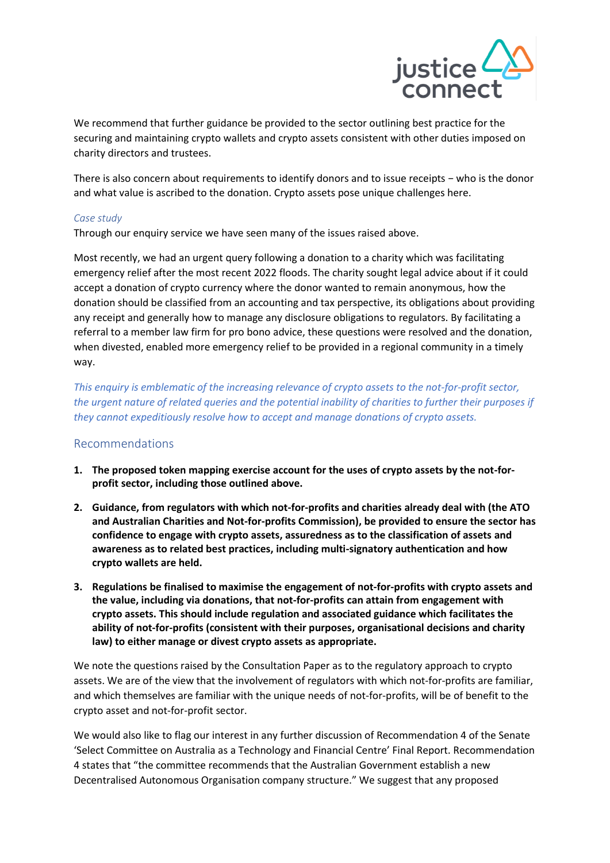

We recommend that further guidance be provided to the sector outlining best practice for the securing and maintaining crypto wallets and crypto assets consistent with other duties imposed on charity directors and trustees.

There is also concern about requirements to identify donors and to issue receipts − who is the donor and what value is ascribed to the donation. Crypto assets pose unique challenges here.

## *Case study*

Through our enquiry service we have seen many of the issues raised above.

Most recently, we had an urgent query following a donation to a charity which was facilitating emergency relief after the most recent 2022 floods. The charity sought legal advice about if it could accept a donation of crypto currency where the donor wanted to remain anonymous, how the donation should be classified from an accounting and tax perspective, its obligations about providing any receipt and generally how to manage any disclosure obligations to regulators. By facilitating a referral to a member law firm for pro bono advice, these questions were resolved and the donation, when divested, enabled more emergency relief to be provided in a regional community in a timely way.

*This enquiry is emblematic of the increasing relevance of crypto assets to the not-for-profit sector, the urgent nature of related queries and the potential inability of charities to further their purposes if they cannot expeditiously resolve how to accept and manage donations of crypto assets.* 

# Recommendations

- **1. The proposed token mapping exercise account for the uses of crypto assets by the not-forprofit sector, including those outlined above.**
- **2. Guidance, from regulators with which not-for-profits and charities already deal with (the ATO and Australian Charities and Not-for-profits Commission), be provided to ensure the sector has confidence to engage with crypto assets, assuredness as to the classification of assets and awareness as to related best practices, including multi-signatory authentication and how crypto wallets are held.**
- **3. Regulations be finalised to maximise the engagement of not-for-profits with crypto assets and the value, including via donations, that not-for-profits can attain from engagement with crypto assets. This should include regulation and associated guidance which facilitates the ability of not-for-profits (consistent with their purposes, organisational decisions and charity law) to either manage or divest crypto assets as appropriate.**

We note the questions raised by the Consultation Paper as to the regulatory approach to crypto assets. We are of the view that the involvement of regulators with which not-for-profits are familiar, and which themselves are familiar with the unique needs of not-for-profits, will be of benefit to the crypto asset and not-for-profit sector.

We would also like to flag our interest in any further discussion of Recommendation 4 of the Senate 'Select Committee on Australia as a Technology and Financial Centre' Final Report. Recommendation 4 states that "the committee recommends that the Australian Government establish a new Decentralised Autonomous Organisation company structure." We suggest that any proposed